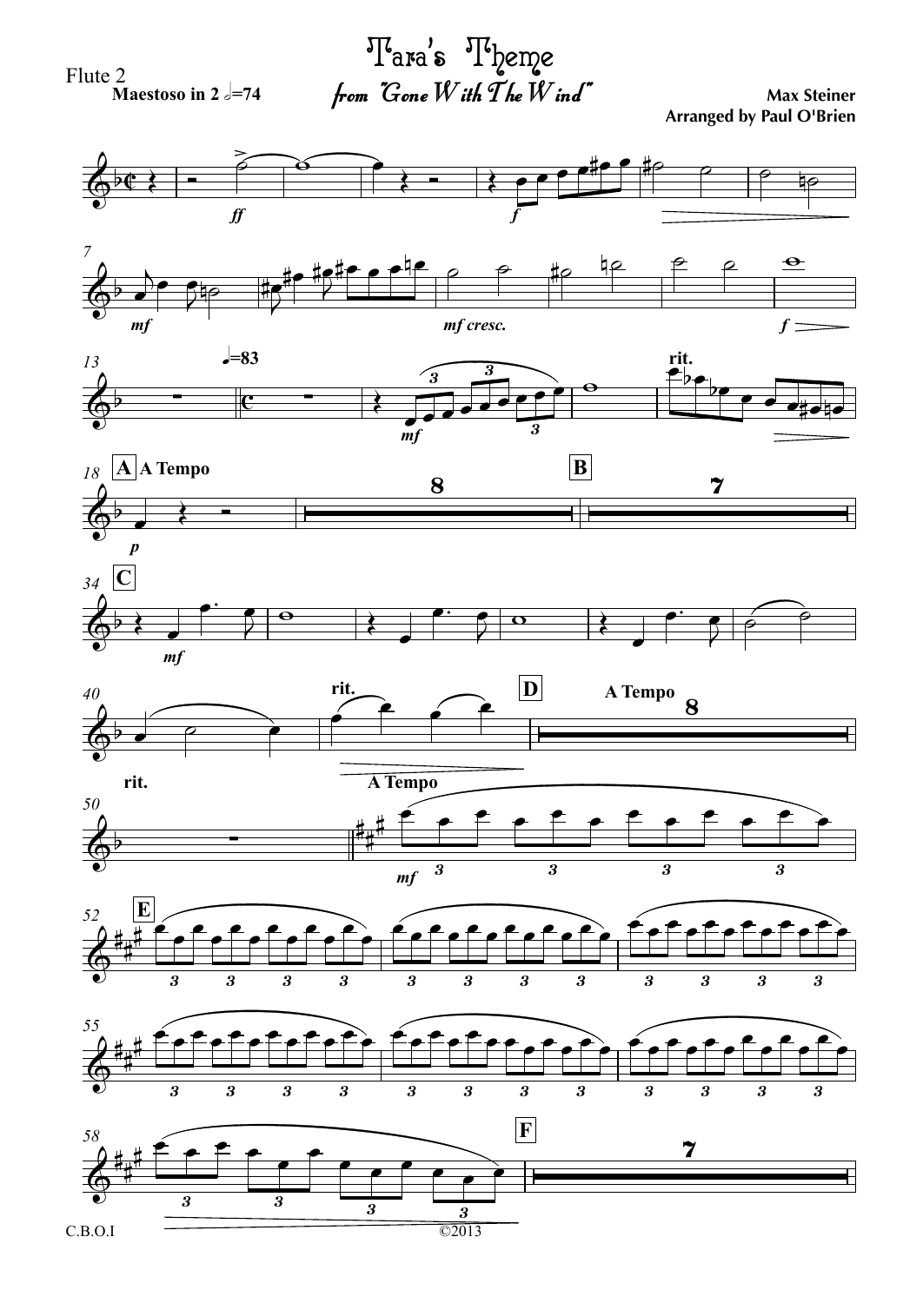Flute 2

**Maestoso** in 2  $=$   $=$  74

from  $\emph{~~}$  Gone  $W$  ith  $\emph{T}$  he  $W$  ind" ' $\mathbf{s}\phantom{0}^{\text{up}}$  Theme

**Max Steiner Arranged by Paul O'Brien**